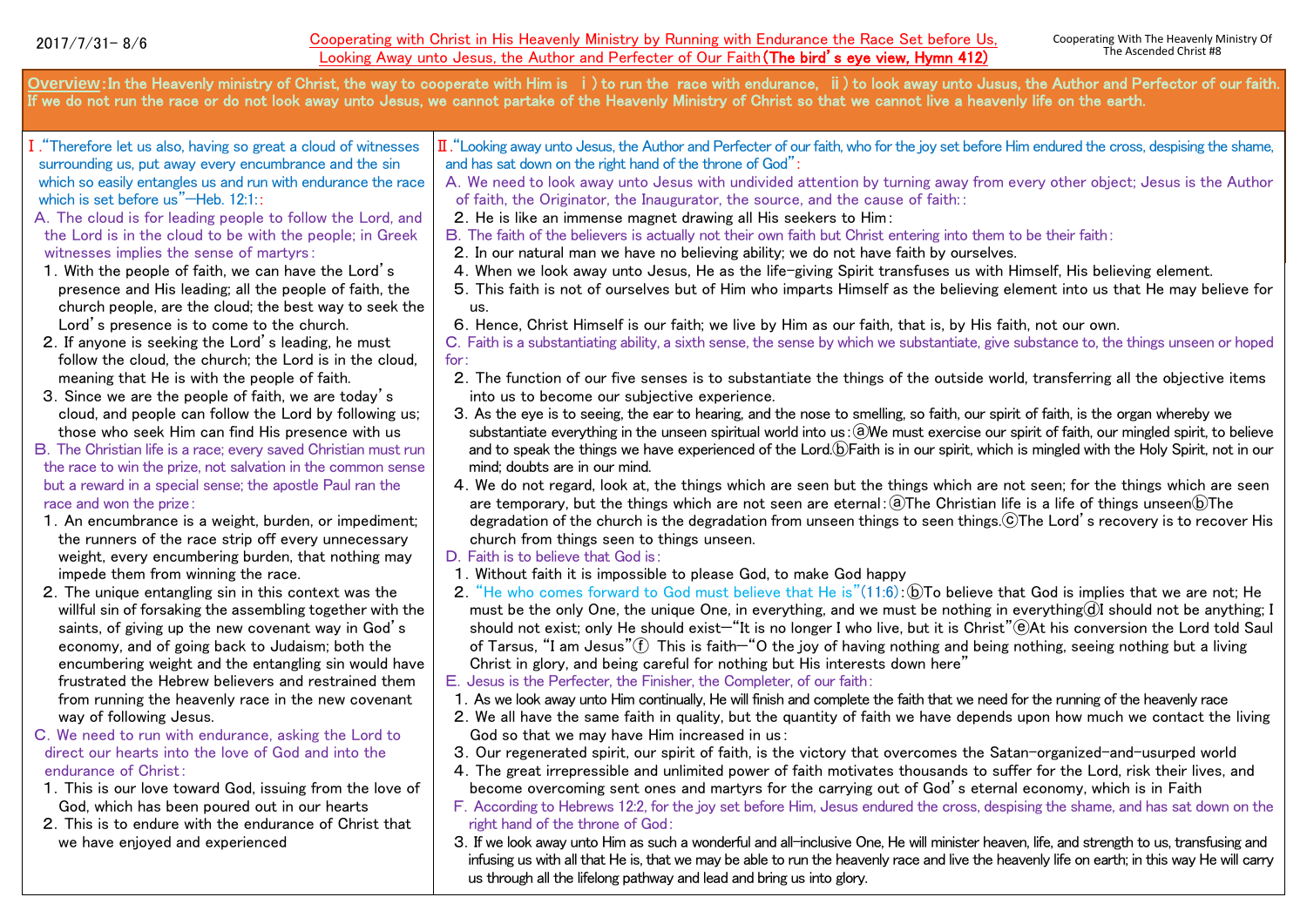**Overview**:In the Heavenly ministry of Christ, the way to cooperate with Him is ⅰ) to run the race with endurance, ⅱ) to look away unto Jusus, the Author and Perfector of our faith. If we do not run the race or do not look away unto Jesus, we cannot partake of the Heavenly Ministry of Christ so that we cannot live a heavenly life on the earth. Ⅰ."Therefore let us also, having so great a cloud of witnesses surrounding us, put away every encumbrance and the sin which so easily entangles us and run with endurance the race which is set before us"—Heb. 12:1:: A.The cloud is for leading people to follow the Lord, and the Lord is in the cloud to be with the people; in Greek witnesses implies the sense of martyrs: 1.With the people of faith, we can have the Lord's presence and His leading; all the people of faith, the church people, are the cloud; the best way to seek the Lord's presence is to come to the church. 2.If anyone is seeking the Lord's leading, he must follow the cloud, the church; the Lord is in the cloud, meaning that He is with the people of faith. 3.Since we are the people of faith, we are today's cloud, and people can follow the Lord by following us; those who seek Him can find His presence with us B.The Christian life is a race; every saved Christian must run the race to win the prize, not salvation in the common sense but a reward in a special sense; the apostle Paul ran the race and won the prize: 1.An encumbrance is a weight, burden, or impediment; the runners of the race strip off every unnecessary weight, every encumbering burden, that nothing may impede them from winning the race. 2.The unique entangling sin in this context was the willful sin of forsaking the assembling together with the saints, of giving up the new covenant way in God's economy, and of going back to Judaism; both the encumbering weight and the entangling sin would have frustrated the Hebrew believers and restrained them from running the heavenly race in the new covenant way of following Jesus. C.We need to run with endurance, asking the Lord to direct our hearts into the love of God and into the endurance of Christ: 1.This is our love toward God, issuing from the love of God, which has been poured out in our hearts 2.This is to endure with the endurance of Christ that we have enjoyed and experienced Ⅱ."Looking away unto Jesus, the Author and Perfecter of our faith, who for the joy set before Him endured the cross, despising the shame, and has sat down on the right hand of the throne of God": A.We need to look away unto Jesus with undivided attention by turning away from every other object; Jesus is the Author of faith, the Originator, the Inaugurator, the source, and the cause of faith:: 2.He is like an immense magnet drawing all His seekers to Him: B.The faith of the believers is actually not their own faith but Christ entering into them to be their faith: 2.In our natural man we have no believing ability; we do not have faith by ourselves. 4.When we look away unto Jesus, He as the life-giving Spirit transfuses us with Himself, His believing element. 5.This faith is not of ourselves but of Him who imparts Himself as the believing element into us that He may believe for us. 6.Hence, Christ Himself is our faith; we live by Him as our faith, that is, by His faith, not our own. C.Faith is a substantiating ability, a sixth sense, the sense by which we substantiate, give substance to, the things unseen or hoped for: 2.The function of our five senses is to substantiate the things of the outside world, transferring all the objective items into us to become our subjective experience. 3.As the eye is to seeing, the ear to hearing, and the nose to smelling, so faith, our spirit of faith, is the organ whereby we substantiate everything in the unseen spiritual world into us: @We must exercise our spirit of faith, our mingled spirit, to believe and to speak the things we have experienced of the Lord.**DFaith is in our spirit, which is mingled with the Holy Spirit, not in our** mind; doubts are in our mind. 4.We do not regard, look at, the things which are seen but the things which are not seen; for the things which are seen are temporary, but the things which are not seen are eternal: $\Omega$ The Christian life is a life of things unseen $\Omega$ The degradation of the church is the degradation from unseen things to seen things.ⓒThe Lord's recovery is to recover His church from things seen to things unseen. D. Faith is to believe that God is: 1.Without faith it is impossible to please God, to make God happy 2. "He who comes forward to God must believe that He is"(11:6): (DTo believe that God is implies that we are not: He must be the only One, the unique One, in everything, and we must be nothing in everything $d$ I should not be anything; I should not exist; only He should exist—"It is no longer I who live, but it is Christ"@At his conversion the Lord told Saul of Tarsus, "I am Jesus" $(\hat{f})$  This is faith—"O the joy of having nothing and being nothing, seeing nothing but a living Christ in glory, and being careful for nothing but His interests down here" E. Jesus is the Perfecter, the Finisher, the Completer, of our faith: 1.As we look away unto Him continually, He will finish and complete the faith that we need for the running of the heavenly race 2.We all have the same faith in quality, but the quantity of faith we have depends upon how much we contact the living God so that we may have Him increased in us: 3.Our regenerated spirit, our spirit of faith, is the victory that overcomes the Satan-organized-and-usurped world 4.The great irrepressible and unlimited power of faith motivates thousands to suffer for the Lord, risk their lives, and become overcoming sent ones and martyrs for the carrying out of God's eternal economy, which is in Faith F.According to Hebrews 12:2, for the joy set before Him, Jesus endured the cross, despising the shame, and has sat down on the right hand of the throne of God: 3.If we look away unto Him as such a wonderful and all-inclusive One, He will minister heaven, life, and strength to us, transfusing and infusing us with all that He is, that we may be able to run the heavenly race and live the heavenly life on earth; in this way He will carry us through all the lifelong pathway and lead and bring us into glory.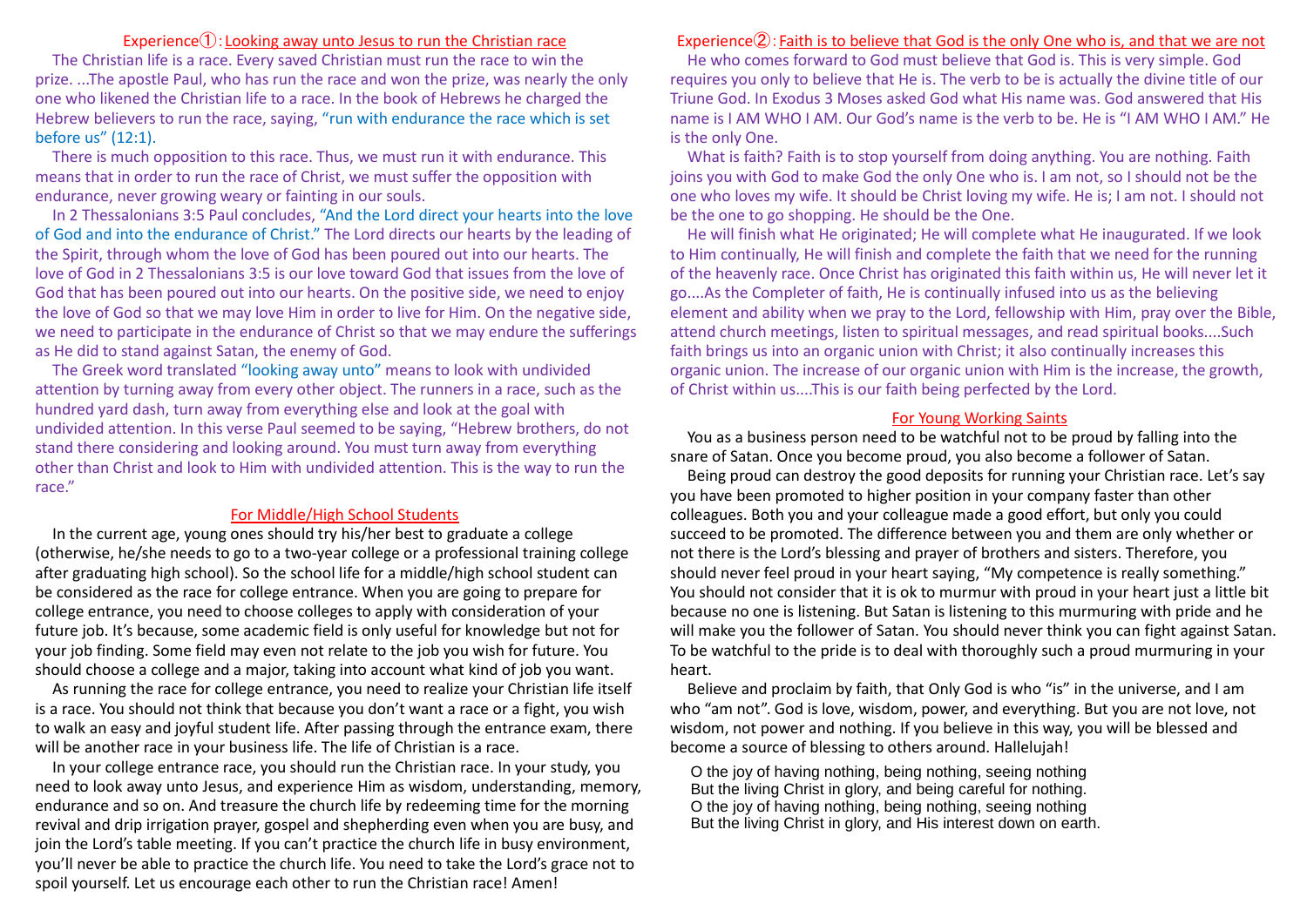## Experience①:Looking away unto Jesus to run the Christian race

The Christian life is a race. Every saved Christian must run the race to win the prize. ...The apostle Paul, who has run the race and won the prize, was nearly the only one who likened the Christian life to a race. In the book of Hebrews he charged the Hebrew believers to run the race, saying, "run with endurance the race which is set before us" (12:1).

There is much opposition to this race. Thus, we must run it with endurance. This means that in order to run the race of Christ, we must suffer the opposition with endurance, never growing weary or fainting in our souls.

In 2 Thessalonians 3:5 Paul concludes, "And the Lord direct your hearts into the love of God and into the endurance of Christ." The Lord directs our hearts by the leading of the Spirit, through whom the love of God has been poured out into our hearts. The love of God in 2 Thessalonians 3:5 is our love toward God that issues from the love of God that has been poured out into our hearts. On the positive side, we need to enjoy the love of God so that we may love Him in order to live for Him. On the negative side, we need to participate in the endurance of Christ so that we may endure the sufferings as He did to stand against Satan, the enemy of God.

The Greek word translated "looking away unto" means to look with undivided attention by turning away from every other object. The runners in a race, such as the hundred yard dash, turn away from everything else and look at the goal with undivided attention. In this verse Paul seemed to be saying, "Hebrew brothers, do not stand there considering and looking around. You must turn away from everything other than Christ and look to Him with undivided attention. This is the way to run the race."

#### For Middle/High School Students

In the current age, young ones should try his/her best to graduate a college (otherwise, he/she needs to go to a two-year college or a professional training college after graduating high school). So the school life for a middle/high school student can be considered as the race for college entrance. When you are going to prepare for college entrance, you need to choose colleges to apply with consideration of your future job. It's because, some academic field is only useful for knowledge but not for your job finding. Some field may even not relate to the job you wish for future. You should choose a college and a major, taking into account what kind of job you want.

As running the race for college entrance, you need to realize your Christian life itself is a race. You should not think that because you don't want a race or a fight, you wish to walk an easy and joyful student life. After passing through the entrance exam, there will be another race in your business life. The life of Christian is a race.

In your college entrance race, you should run the Christian race. In your study, you need to look away unto Jesus, and experience Him as wisdom, understanding, memory, endurance and so on. And treasure the church life by redeeming time for the morning revival and drip irrigation prayer, gospel and shepherding even when you are busy, and join the Lord's table meeting. If you can't practice the church life in busy environment, you'll never be able to practice the church life. You need to take the Lord's grace not to spoil yourself. Let us encourage each other to run the Christian race! Amen!

### Experience②:Faith is to believe that God is the only One who is, and that we are not

He who comes forward to God must believe that God is. This is very simple. God requires you only to believe that He is. The verb to be is actually the divine title of our Triune God. In Exodus 3 Moses asked God what His name was. God answered that His name is I AM WHO I AM. Our God's name is the verb to be. He is "I AM WHO I AM." He is the only One.

What is faith? Faith is to stop yourself from doing anything. You are nothing. Faith joins you with God to make God the only One who is. I am not, so I should not be the one who loves my wife. It should be Christ loving my wife. He is; I am not. I should not be the one to go shopping. He should be the One.

He will finish what He originated; He will complete what He inaugurated. If we look to Him continually, He will finish and complete the faith that we need for the running of the heavenly race. Once Christ has originated this faith within us, He will never let it go....As the Completer of faith, He is continually infused into us as the believing element and ability when we pray to the Lord, fellowship with Him, pray over the Bible, attend church meetings, listen to spiritual messages, and read spiritual books....Such faith brings us into an organic union with Christ; it also continually increases this organic union. The increase of our organic union with Him is the increase, the growth, of Christ within us....This is our faith being perfected by the Lord.

### For Young Working Saints

You as a business person need to be watchful not to be proud by falling into the snare of Satan. Once you become proud, you also become a follower of Satan.

Being proud can destroy the good deposits for running your Christian race. Let's say you have been promoted to higher position in your company faster than other colleagues. Both you and your colleague made a good effort, but only you could succeed to be promoted. The difference between you and them are only whether or not there is the Lord's blessing and prayer of brothers and sisters. Therefore, you should never feel proud in your heart saying, "My competence is really something." You should not consider that it is ok to murmur with proud in your heart just a little bit because no one is listening. But Satan is listening to this murmuring with pride and he will make you the follower of Satan. You should never think you can fight against Satan. To be watchful to the pride is to deal with thoroughly such a proud murmuring in your heart.

Believe and proclaim by faith, that Only God is who "is" in the universe, and I am who "am not". God is love, wisdom, power, and everything. But you are not love, not wisdom, not power and nothing. If you believe in this way, you will be blessed and become a source of blessing to others around. Hallelujah!

O the joy of having nothing, being nothing, seeing nothing But the living Christ in glory, and being careful for nothing. O the joy of having nothing, being nothing, seeing nothing But the living Christ in glory, and His interest down on earth.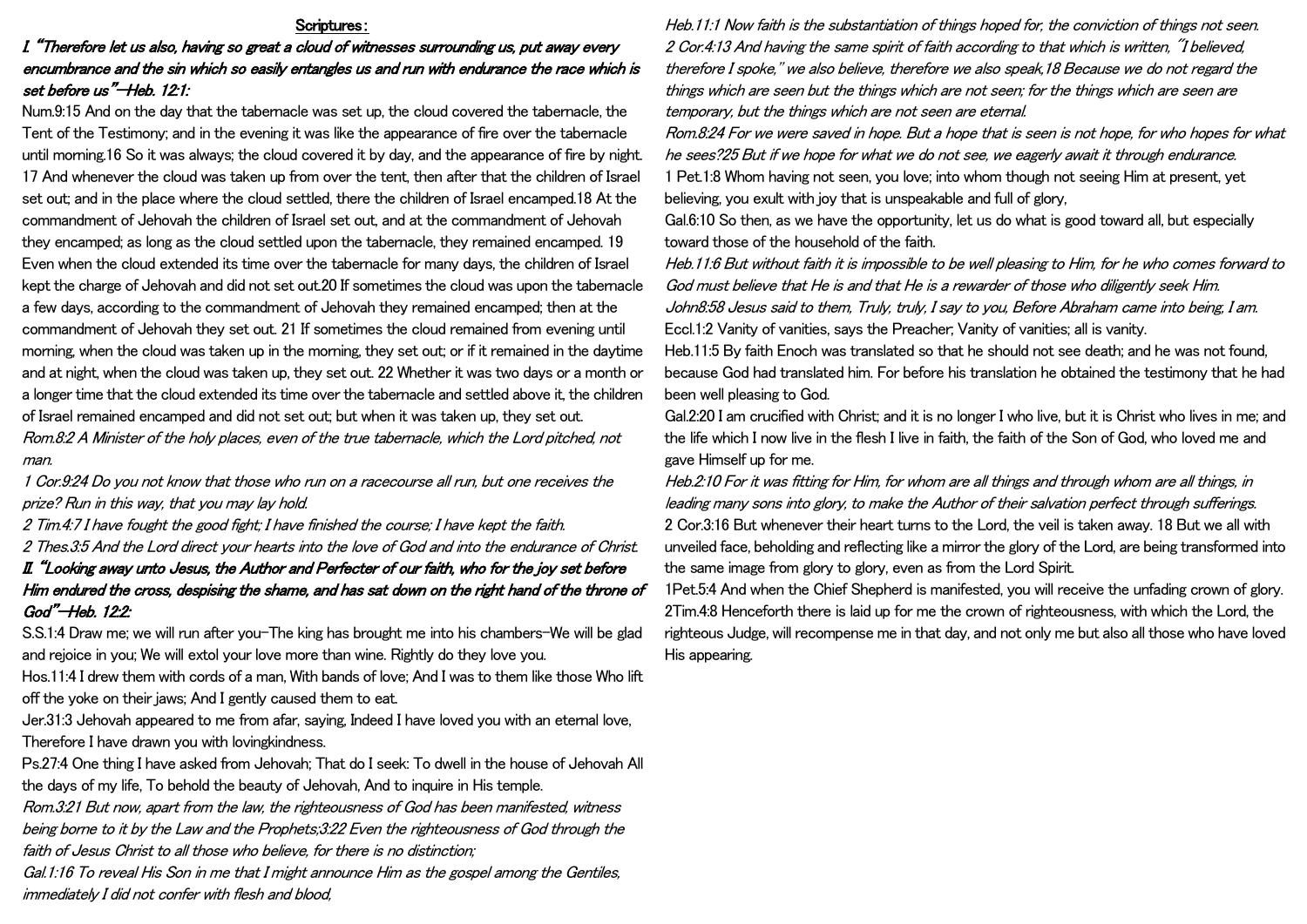### Scriptures:

## I. "Therefore let us also, having so great a cloud of witnesses surrounding us, put away every encumbrance and the sin which so easily entangles us and run with endurance the race which is set before us"—Heb. 12:1:

Num.9:15 And on the day that the tabernacle was set up, the cloud covered the tabernacle, the Tent of the Testimony; and in the evening it was like the appearance of fire over the tabernacle until morning.16 So it was always; the cloud covered it by day, and the appearance of fire by night. 17 And whenever the cloud was taken up from over the tent, then after that the children of Israel set out; and in the place where the cloud settled, there the children of Israel encamped.18 At the commandment of Jehovah the children of Israel set out, and at the commandment of Jehovah they encamped; as long as the cloud settled upon the tabernacle, they remained encamped. 19 Even when the cloud extended its time over the tabernacle for many days, the children of Israel kept the charge of Jehovah and did not set out.20 If sometimes the cloud was upon the tabernacle a few days, according to the commandment of Jehovah they remained encamped; then at the commandment of Jehovah they set out. 21 If sometimes the cloud remained from evening until morning, when the cloud was taken up in the morning, they set out; or if it remained in the daytime and at night, when the cloud was taken up, they set out. 22 Whether it was two days or a month or a longer time that the cloud extended its time over the tabernacle and settled above it, the children of Israel remained encamped and did not set out; but when it was taken up, they set out. Rom.8:2 A Minister of the holy places, even of the true tabernacle, which the Lord pitched, not man.

1 Cor.9:24 Do you not know that those who run on a racecourse all run, but one receives the prize? Run in this way, that you may lay hold.

2 Tim.4:7 I have fought the good fight; I have finished the course; I have kept the faith.

2 Thes.3:5 And the Lord direct your hearts into the love of God and into the endurance of Christ. II. "Looking away unto Jesus, the Author and Perfecter of our faith, who for the joy set before Him endured the cross, despising the shame, and has sat down on the right hand of the throne of God"—Heb. 12:2:

S.S.1:4 Draw me; we will run after you-The king has brought me into his chambers-We will be glad and rejoice in you; We will extol your love more than wine. Rightly do they love you.

Hos.11:4 I drew them with cords of a man, With bands of love; And I was to them like those Who lift off the yoke on their jaws; And I gently caused them to eat.

Jer.31:3 Jehovah appeared to me from afar, saying, Indeed I have loved you with an eternal love, Therefore I have drawn you with lovingkindness.

Ps.27:4 One thing I have asked from Jehovah; That do I seek: To dwell in the house of Jehovah All the days of my life, To behold the beauty of Jehovah, And to inquire in His temple.

Rom.3:21 But now, apart from the law, the righteousness of God has been manifested, witness being borne to it by the Law and the Prophets;3:22 Even the righteousness of God through the faith of Jesus Christ to all those who believe, for there is no distinction;

Gal.1:16 To reveal His Son in me that I might announce Him as the gospel among the Gentiles, immediately I did not confer with flesh and blood,

Heb.11:1 Now faith is the substantiation of things hoped for, the conviction of things not seen. 2 Cor.4:13 And having the same spirit of faith according to that which is written, "I believed, therefore I spoke,'' we also believe, therefore we also speak,18 Because we do not regard the things which are seen but the things which are not seen; for the things which are seen are temporary, but the things which are not seen are eternal.

Rom.8:24 For we were saved in hope. But a hope that is seen is not hope, for who hopes for what he sees?25 But if we hope for what we do not see, we eagerly await it through endurance. 1 Pet.1:8 Whom having not seen, you love; into whom though not seeing Him at present, yet believing, you exult with joy that is unspeakable and full of glory,

Gal.6:10 So then, as we have the opportunity, let us do what is good toward all, but especially toward those of the household of the faith.

Heb.11:6 But without faith it is impossible to be well pleasing to Him, for he who comes forward to God must believe that He is and that He is a rewarder of those who diligently seek Him. John8:58 Jesus said to them, Truly, truly, I say to you, Before Abraham came into being, I am. Eccl.1:2 Vanity of vanities, says the Preacher; Vanity of vanities; all is vanity.

Heb.11:5 By faith Enoch was translated so that he should not see death; and he was not found, because God had translated him. For before his translation he obtained the testimony that he had been well pleasing to God.

Gal.2:20 I am crucified with Christ; and it is no longer I who live, but it is Christ who lives in me; and the life which I now live in the flesh I live in faith, the faith of the Son of God, who loved me and gave Himself up for me.

Heb.2:10 For it was fitting for Him, for whom are all things and through whom are all things, in leading many sons into glory, to make the Author of their salvation perfect through sufferings. 2 Cor.3:16 But whenever their heart turns to the Lord, the veil is taken away. 18 But we all with unveiled face, beholding and reflecting like a mirror the glory of the Lord, are being transformed into the same image from glory to glory, even as from the Lord Spirit.

1Pet.5:4 And when the Chief Shepherd is manifested, you will receive the unfading crown of glory. 2Tim.4:8 Henceforth there is laid up for me the crown of righteousness, with which the Lord, the righteous Judge, will recompense me in that day, and not only me but also all those who have loved His appearing.